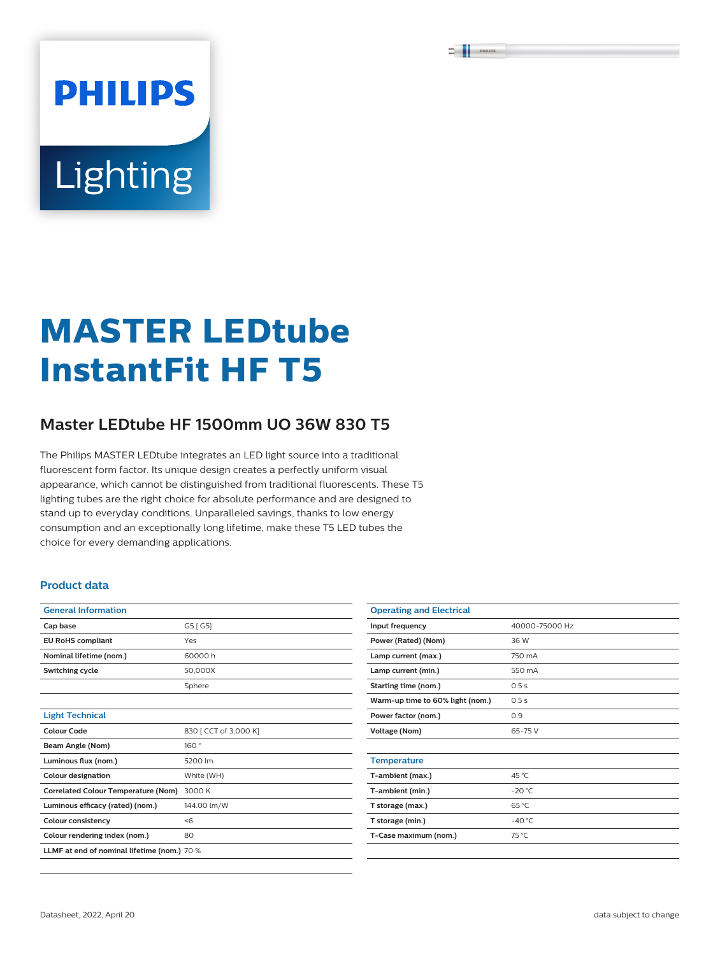# **PHILIPS** Lighting

## **MASTER LEDtube InstantFit HF T5**

### **Master LEDtube HF 1500mm UO 36W 830 T5**

The Philips MASTER LEDtube integrates an LED light source into a traditional fluorescent form factor. Its unique design creates a perfectly uniform visual appearance, which cannot be distinguished from traditional fluorescents. These T5 lighting tubes are the right choice for absolute performance and are designed to stand up to everyday conditions. Unparalleled savings, thanks to low energy consumption and an exceptionally long lifetime, make these T5 LED tubes the choice for every demanding applications.

#### **Product data**

| <b>General Information</b>                  |                       |  |  |
|---------------------------------------------|-----------------------|--|--|
| Cap base                                    | G5 [ G5]              |  |  |
| <b>EU RoHS compliant</b>                    | Yes                   |  |  |
| Nominal lifetime (nom.)                     | 60000h                |  |  |
| Switching cycle                             | 50.000X               |  |  |
|                                             | Sphere                |  |  |
|                                             |                       |  |  |
| <b>Light Technical</b>                      |                       |  |  |
| Colour Code                                 | 830 [ CCT of 3,000 K] |  |  |
| Beam Angle (Nom)                            | 160°                  |  |  |
| Luminous flux (nom.)                        | 5200 lm               |  |  |
| <b>Colour designation</b>                   | White (WH)            |  |  |
| <b>Correlated Colour Temperature (Nom)</b>  | 3000 K                |  |  |
| Luminous efficacy (rated) (nom.)            | 144.00 lm/W           |  |  |
| <b>Colour consistency</b>                   | < 6                   |  |  |
| Colour rendering index (nom.)               | 80                    |  |  |
| LLMF at end of nominal lifetime (nom.) 70 % |                       |  |  |

| <b>Operating and Electrical</b>  |                |  |  |
|----------------------------------|----------------|--|--|
| Input frequency                  | 40000-75000 Hz |  |  |
| Power (Rated) (Nom)              | 36 W           |  |  |
| Lamp current (max.)              | 750 mA         |  |  |
| Lamp current (min.)              | 550 mA         |  |  |
| Starting time (nom.)             | 0.5s           |  |  |
| Warm-up time to 60% light (nom.) | 0.5s           |  |  |
| Power factor (nom.)              | 0.9            |  |  |
| <b>Voltage (Nom)</b>             | $65 - 75V$     |  |  |
|                                  |                |  |  |
| <b>Temperature</b>               |                |  |  |
| T-ambient (max.)                 | 45 °C          |  |  |
| T-ambient (min.)                 | $-20$ °C       |  |  |
| T storage (max.)                 | 65 °C          |  |  |
| T storage (min.)                 | $-40 °C$       |  |  |
| T-Case maximum (nom.)            | 75 °C          |  |  |
|                                  |                |  |  |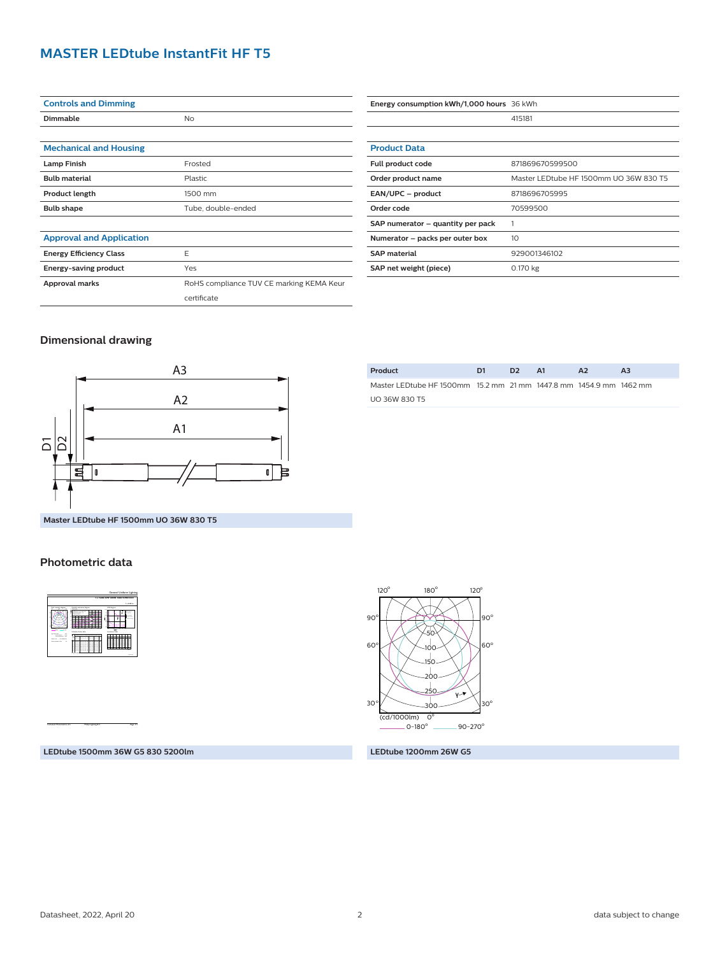#### **MASTER LEDtube InstantFit HF T5**

| <b>Controls and Dimming</b>     |                                          |  |  |
|---------------------------------|------------------------------------------|--|--|
| Dimmable                        | <b>No</b>                                |  |  |
|                                 |                                          |  |  |
| <b>Mechanical and Housing</b>   |                                          |  |  |
| <b>Lamp Finish</b>              | Frosted                                  |  |  |
| <b>Bulb material</b>            | Plastic                                  |  |  |
| <b>Product length</b>           | 1500 mm                                  |  |  |
| <b>Bulb shape</b>               | Tube, double-ended                       |  |  |
|                                 |                                          |  |  |
| <b>Approval and Application</b> |                                          |  |  |
| <b>Energy Efficiency Class</b>  | F                                        |  |  |
| Energy-saving product           | Yes                                      |  |  |
| Approval marks                  | RoHS compliance TUV CE marking KEMA Keur |  |  |
|                                 | certificate                              |  |  |

| Energy consumption kWh/1,000 hours 36 kWh |                                        |  |  |
|-------------------------------------------|----------------------------------------|--|--|
|                                           | 415181                                 |  |  |
|                                           |                                        |  |  |
| <b>Product Data</b>                       |                                        |  |  |
| Full product code                         | 871869670599500                        |  |  |
| Order product name                        | Master LEDtube HF 1500mm UO 36W 830 T5 |  |  |
| EAN/UPC - product                         | 8718696705995                          |  |  |
| Order code                                | 70599500                               |  |  |
| SAP numerator - quantity per pack         |                                        |  |  |
| Numerator – packs per outer box           | 10                                     |  |  |
| <b>SAP</b> material                       | 929001346102                           |  |  |
| SAP net weight (piece)                    | 0.170 kg                               |  |  |

#### **Dimensional drawing**



| Product                                                            | D1 | D <sub>2</sub> | A1 | A <sub>2</sub> | ΑЗ |  |
|--------------------------------------------------------------------|----|----------------|----|----------------|----|--|
| Master LEDtube HF 1500mm 15.2 mm 21 mm 1447.8 mm 1454.9 mm 1462 mm |    |                |    |                |    |  |
| <b>UO 36W 830 T5</b>                                               |    |                |    |                |    |  |
|                                                                    |    |                |    |                |    |  |

**Master LEDtube HF 1500mm UO 36W 830 T5**

#### **Photometric data**



CalcuLuX Photometrics 4.5 Philips Lighting B.V. Page: 1/1

 $\frac{(\text{cd}/1000 \text{lm})}{0.180^{\circ}}$  $90 - 270^{\circ}$ 0 o  $30^{\circ}$   $30^{\circ}$   $30^{\circ}$ 60° $\bigwedge$   $\bigvee$   $\bigvee_{100}\bigvee$   $\bigvee$   $\bigvee$ 60° 90 <sup>o</sup> <sup>o</sup> 90 50 100 150 200 250 ።

 $180^\circ$ 

120

 $120^\circ$ 

**LEDtube 1500mm 36W G5 830 5200lm**

#### **LEDtube 1200mm 26W G5**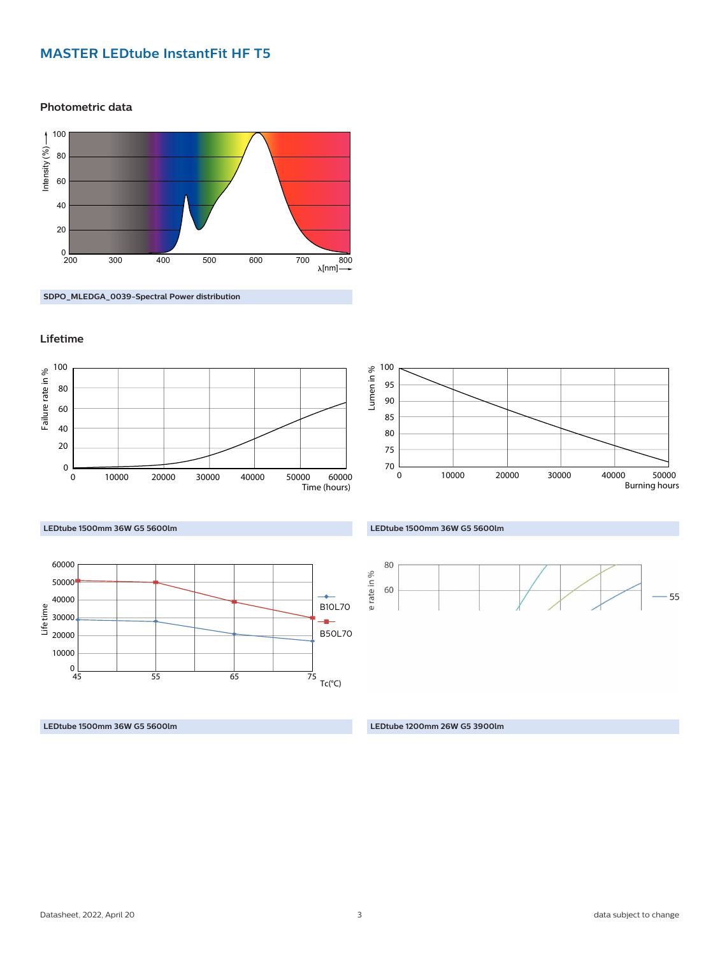#### **MASTER LEDtube InstantFit HF T5**

**Photometric data**



**SDPO\_MLEDGA\_0039-Spectral Power distribution**

#### **Lifetime**



#### **LEDtube 1500mm 36W G5 5600lm**



**LEDtube 1500mm 36W G5 5600lm LEDtube 1200mm 26W G5 3900lm**



#### **LEDtube 1500mm 36W G5 5600lm**